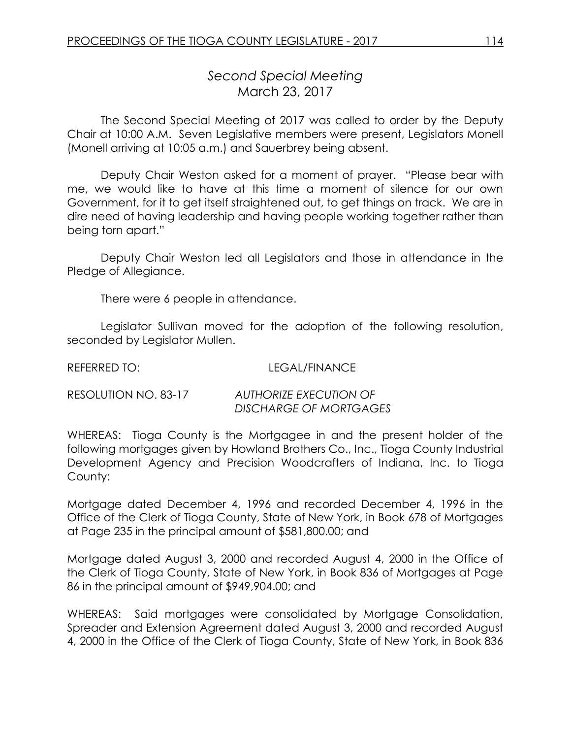## *Second Special Meeting* March 23, 2017

The Second Special Meeting of 2017 was called to order by the Deputy Chair at 10:00 A.M. Seven Legislative members were present, Legislators Monell (Monell arriving at 10:05 a.m.) and Sauerbrey being absent.

Deputy Chair Weston asked for a moment of prayer. "Please bear with me, we would like to have at this time a moment of silence for our own Government, for it to get itself straightened out, to get things on track. We are in dire need of having leadership and having people working together rather than being torn apart."

Deputy Chair Weston led all Legislators and those in attendance in the Pledge of Allegiance.

There were 6 people in attendance.

Legislator Sullivan moved for the adoption of the following resolution, seconded by Legislator Mullen.

REFERRED TO: LEGAL/FINANCE

| RESOLUTION NO. 83-17 | AUTHORIZE EXECUTION OF |
|----------------------|------------------------|
|                      | DISCHARGE OF MORTGAGES |

WHEREAS: Tioga County is the Mortgagee in and the present holder of the following mortgages given by Howland Brothers Co., Inc., Tioga County Industrial Development Agency and Precision Woodcrafters of Indiana, Inc. to Tioga County:

Mortgage dated December 4, 1996 and recorded December 4, 1996 in the Office of the Clerk of Tioga County, State of New York, in Book 678 of Mortgages at Page 235 in the principal amount of \$581,800.00; and

Mortgage dated August 3, 2000 and recorded August 4, 2000 in the Office of the Clerk of Tioga County, State of New York, in Book 836 of Mortgages at Page 86 in the principal amount of \$949,904.00; and

WHEREAS: Said mortgages were consolidated by Mortgage Consolidation, Spreader and Extension Agreement dated August 3, 2000 and recorded August 4, 2000 in the Office of the Clerk of Tioga County, State of New York, in Book 836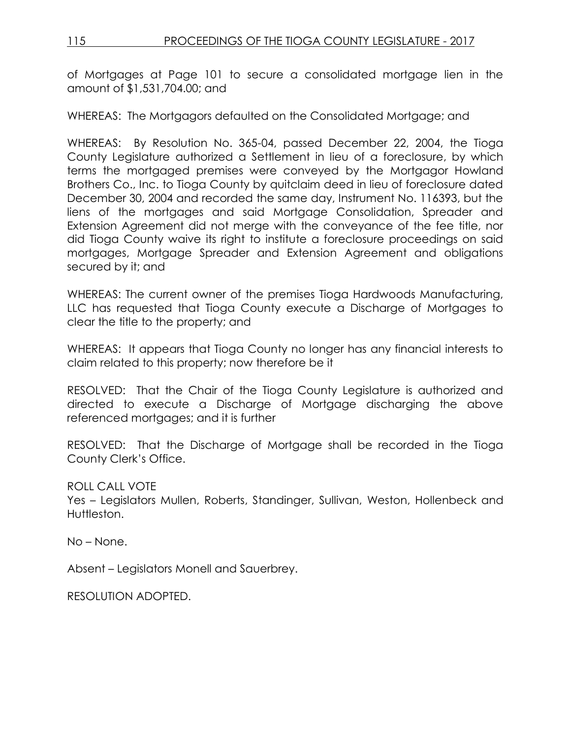of Mortgages at Page 101 to secure a consolidated mortgage lien in the amount of \$1,531,704.00; and

WHEREAS: The Mortgagors defaulted on the Consolidated Mortgage; and

WHEREAS: By Resolution No. 365-04, passed December 22, 2004, the Tioga County Legislature authorized a Settlement in lieu of a foreclosure, by which terms the mortgaged premises were conveyed by the Mortgagor Howland Brothers Co., Inc. to Tioga County by quitclaim deed in lieu of foreclosure dated December 30, 2004 and recorded the same day, Instrument No. 116393, but the liens of the mortgages and said Mortgage Consolidation, Spreader and Extension Agreement did not merge with the conveyance of the fee title, nor did Tioga County waive its right to institute a foreclosure proceedings on said mortgages, Mortgage Spreader and Extension Agreement and obligations secured by it; and

WHEREAS: The current owner of the premises Tioga Hardwoods Manufacturing, LLC has requested that Tioga County execute a Discharge of Mortgages to clear the title to the property; and

WHEREAS: It appears that Tioga County no longer has any financial interests to claim related to this property; now therefore be it

RESOLVED: That the Chair of the Tioga County Legislature is authorized and directed to execute a Discharge of Mortgage discharging the above referenced mortgages; and it is further

RESOLVED: That the Discharge of Mortgage shall be recorded in the Tioga County Clerk's Office.

ROLL CALL VOTE

Yes – Legislators Mullen, Roberts, Standinger, Sullivan, Weston, Hollenbeck and Huttleston.

No – None.

Absent – Legislators Monell and Sauerbrey.

RESOLUTION ADOPTED.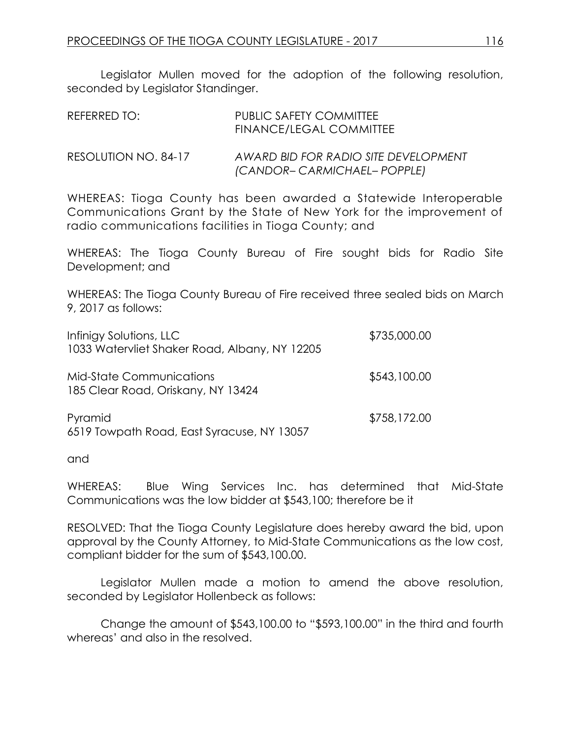Legislator Mullen moved for the adoption of the following resolution, seconded by Legislator Standinger.

| REFERRED TO:         | <b>PUBLIC SAFETY COMMITTEE</b><br>FINANCE/LEGAL COMMITTEE            |
|----------------------|----------------------------------------------------------------------|
| RESOLUTION NO. 84-17 | AWARD BID FOR RADIO SITE DEVELOPMENT<br>(CANDOR- CARMICHAEL- POPPLE) |

WHEREAS: Tioga County has been awarded a Statewide Interoperable Communications Grant by the State of New York for the improvement of radio communications facilities in Tioga County; and

WHEREAS: The Tioga County Bureau of Fire sought bids for Radio Site Development; and

WHEREAS: The Tioga County Bureau of Fire received three sealed bids on March 9, 2017 as follows:

| Infinigy Solutions, LLC<br>1033 Watervliet Shaker Road, Albany, NY 12205 | \$735,000.00 |
|--------------------------------------------------------------------------|--------------|
| <b>Mid-State Communications</b><br>185 Clear Road, Oriskany, NY 13424    | \$543,100.00 |
| Pyramid<br>6519 Towpath Road, East Syracuse, NY 13057                    | \$758,172.00 |

and

WHEREAS: Blue Wing Services Inc. has determined that Mid-State Communications was the low bidder at \$543,100; therefore be it

RESOLVED: That the Tioga County Legislature does hereby award the bid, upon approval by the County Attorney, to Mid-State Communications as the low cost, compliant bidder for the sum of \$543,100.00.

Legislator Mullen made a motion to amend the above resolution, seconded by Legislator Hollenbeck as follows:

Change the amount of \$543,100.00 to "\$593,100.00" in the third and fourth whereas' and also in the resolved.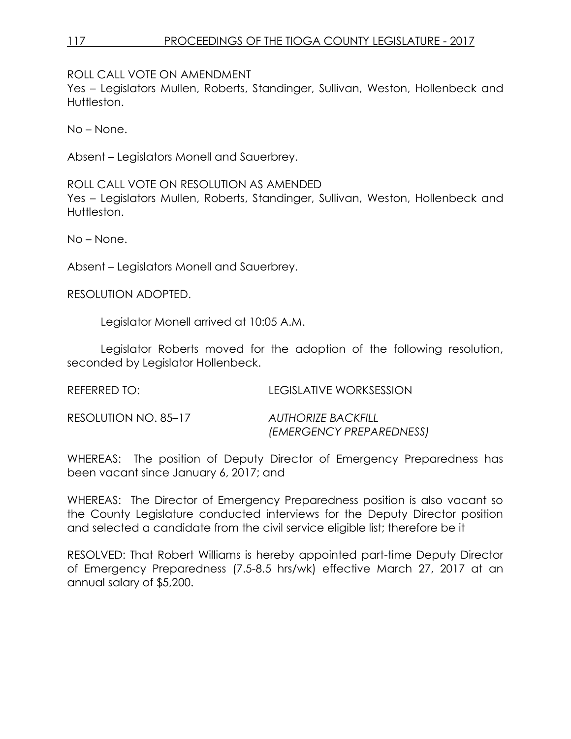## 117 PROCEEDINGS OF THE TIOGA COUNTY LEGISLATURE - 2017

ROLL CALL VOTE ON AMENDMENT

Yes – Legislators Mullen, Roberts, Standinger, Sullivan, Weston, Hollenbeck and Huttleston.

No – None.

Absent – Legislators Monell and Sauerbrey.

ROLL CALL VOTE ON RESOLUTION AS AMENDED Yes – Legislators Mullen, Roberts, Standinger, Sullivan, Weston, Hollenbeck and Huttleston.

No – None.

Absent – Legislators Monell and Sauerbrey.

RESOLUTION ADOPTED.

Legislator Monell arrived at 10:05 A.M.

Legislator Roberts moved for the adoption of the following resolution, seconded by Legislator Hollenbeck.

REFERRED TO: LEGISLATIVE WORKSESSION

| RESOLUTION NO. 85–17 | <b>AUTHORIZE BACKFILL</b> |
|----------------------|---------------------------|
|                      | (EMERGENCY PREPAREDNESS)  |

WHEREAS: The position of Deputy Director of Emergency Preparedness has been vacant since January 6, 2017; and

WHEREAS: The Director of Emergency Preparedness position is also vacant so the County Legislature conducted interviews for the Deputy Director position and selected a candidate from the civil service eligible list; therefore be it

RESOLVED: That Robert Williams is hereby appointed part-time Deputy Director of Emergency Preparedness (7.5-8.5 hrs/wk) effective March 27, 2017 at an annual salary of \$5,200.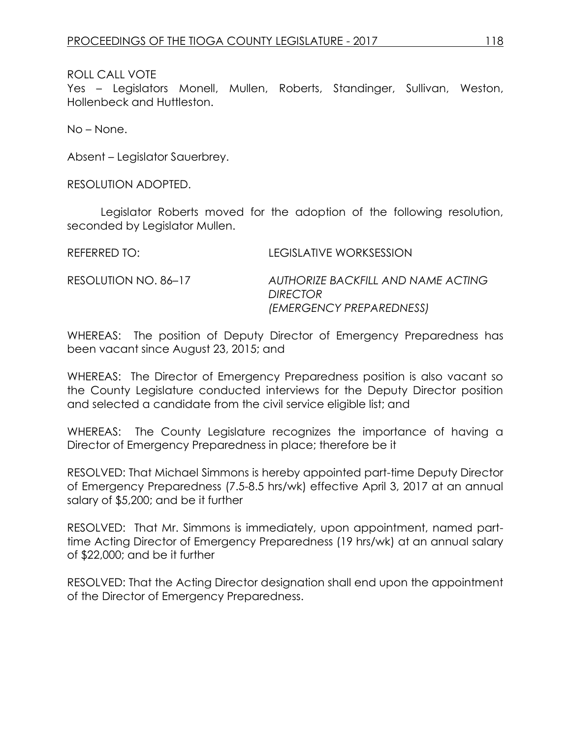## ROLL CALL VOTE

Yes – Legislators Monell, Mullen, Roberts, Standinger, Sullivan, Weston, Hollenbeck and Huttleston.

No – None.

Absent – Legislator Sauerbrey.

RESOLUTION ADOPTED.

Legislator Roberts moved for the adoption of the following resolution, seconded by Legislator Mullen.

REFERRED TO: LEGISLATIVE WORKSESSION RESOLUTION NO. 86–17 *AUTHORIZE BACKFILL AND NAME ACTING DIRECTOR (EMERGENCY PREPAREDNESS)*

WHEREAS: The position of Deputy Director of Emergency Preparedness has been vacant since August 23, 2015; and

WHEREAS: The Director of Emergency Preparedness position is also vacant so the County Legislature conducted interviews for the Deputy Director position and selected a candidate from the civil service eligible list; and

WHEREAS: The County Legislature recognizes the importance of having a Director of Emergency Preparedness in place; therefore be it

RESOLVED: That Michael Simmons is hereby appointed part-time Deputy Director of Emergency Preparedness (7.5-8.5 hrs/wk) effective April 3, 2017 at an annual salary of \$5,200; and be it further

RESOLVED: That Mr. Simmons is immediately, upon appointment, named parttime Acting Director of Emergency Preparedness (19 hrs/wk) at an annual salary of \$22,000; and be it further

RESOLVED: That the Acting Director designation shall end upon the appointment of the Director of Emergency Preparedness.